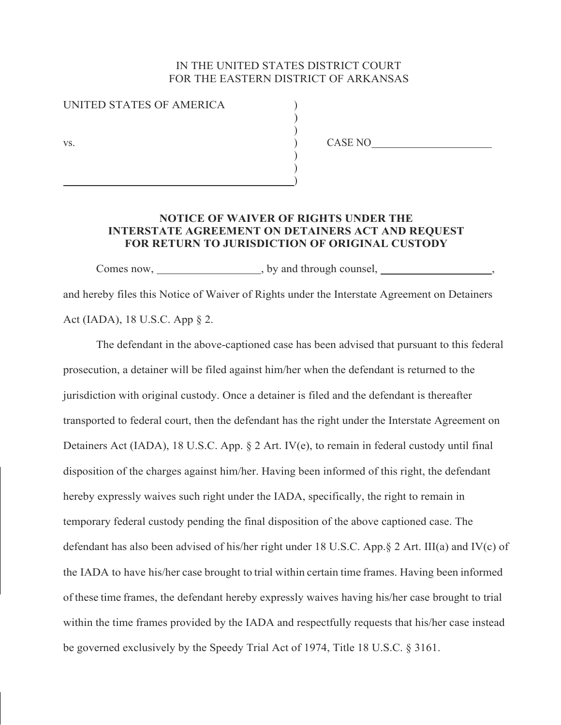## IN THE UNITED STATES DISTRICT COURT FOR THE EASTERN DISTRICT OF ARKANSAS

| UNITED STATES OF AMERICA |  |
|--------------------------|--|
|                          |  |
|                          |  |
|                          |  |

 $\left( \begin{array}{c} 1 \ 1 \end{array} \right)$  $\left( \begin{array}{c} 1 \ 1 \end{array} \right)$ ) and the contract of the contract of  $\mathcal{L}$ 

) CASE NO<br>
<u>CASE NO</u>

## **NOTICE OF WAIVER OF RIGHTS UNDER THE INTERSTATE AGREEMENT ON DETAINERS ACT AND REQUEST FOR RETURN TO JURISDICTION OF ORIGINAL CUSTODY**

Comes now, by and through counsel,  $\frac{1}{2}$ , by and through counsel, and hereby files this Notice of Waiver of Rights under the Interstate Agreement on Detainers Act (IADA), 18 U.S.C. App § 2.

 The defendant in the above-captioned case has been advised that pursuant to this federal prosecution, a detainer will be filed against him/her when the defendant is returned to the jurisdiction with original custody. Once a detainer is filed and the defendant is thereafter transported to federal court, then the defendant has the right under the Interstate Agreement on Detainers Act (IADA), 18 U.S.C. App. § 2 Art. IV(e), to remain in federal custody until final disposition of the charges against him/her. Having been informed of this right, the defendant hereby expressly waives such right under the IADA, specifically, the right to remain in temporary federal custody pending the final disposition of the above captioned case. The defendant has also been advised of his/her right under 18 U.S.C. App.§ 2 Art. III(a) and IV(c) of the IADA to have his/her case brought to trial within certain time frames. Having been informed of these time frames, the defendant hereby expressly waives having his/her case brought to trial within the time frames provided by the IADA and respectfully requests that his/her case instead be governed exclusively by the Speedy Trial Act of 1974, Title 18 U.S.C. § 3161.